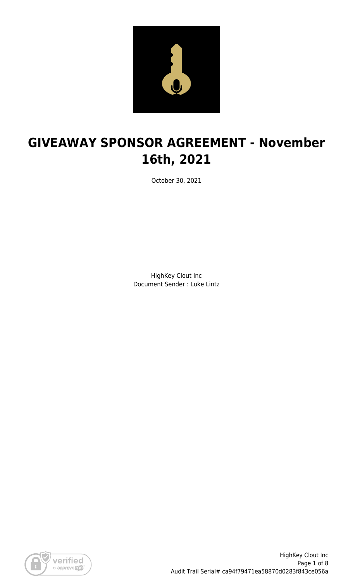

# **GIVEAWAY SPONSOR AGREEMENT - November 16th, 2021**

October 30, 2021

HighKey Clout Inc Document Sender : Luke Lintz

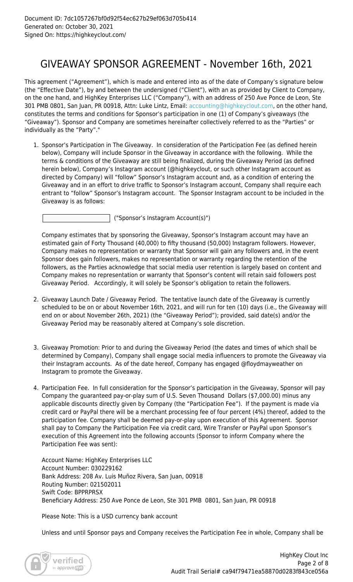### GIVEAWAY SPONSOR AGREEMENT - November 16th, 2021

This agreement ("Agreement"), which is made and entered into as of the date of Company's signature below (the "Effective Date"), by and between the undersigned ("Client"), with an as provided by Client to Company, on the one hand, and HighKey Enterprises LLC ("Company"), with an address of 250 Ave Ponce de Leon, Ste 301 PMB 0801, San Juan, PR 00918, Attn: Luke Lintz, Email: [accounting@highkeyclout.com,](mailto:accounting@highkeyclout.com) on the other hand, constitutes the terms and conditions for Sponsor's participation in one (1) of Company's giveaways (the "Giveaway"). Sponsor and Company are sometimes hereinafter collectively referred to as the "Parties" or individually as the "Party"."

1. Sponsor's Participation in The Giveaway. In consideration of the Participation Fee (as defined herein below), Company will include Sponsor in the Giveaway in accordance with the following. While the terms & conditions of the Giveaway are still being finalized, during the Giveaway Period (as defined herein below), Company's Instagram account (@highkeyclout, or such other Instagram account as directed by Company) will "follow" Sponsor's Instagram account and, as a condition of entering the Giveaway and in an effort to drive traffic to Sponsor's Instagram account, Company shall require each entrant to "follow" Sponsor's Instagram account. The Sponsor Instagram account to be included in the Giveaway is as follows:

("Sponsor's Instagram Account(s)")

Company estimates that by sponsoring the Giveaway, Sponsor's Instagram account may have an estimated gain of Forty Thousand (40,000) to fifty thousand (50,000) Instagram followers. However, Company makes no representation or warranty that Sponsor will gain any followers and, in the event Sponsor does gain followers, makes no representation or warranty regarding the retention of the followers, as the Parties acknowledge that social media user retention is largely based on content and Company makes no representation or warranty that Sponsor's content will retain said followers post Giveaway Period. Accordingly, it will solely be Sponsor's obligation to retain the followers.

- 2. Giveaway Launch Date / Giveaway Period. The tentative launch date of the Giveaway is currently scheduled to be on or about November 16th, 2021, and will run for ten (10) days (i.e., the Giveaway will end on or about November 26th, 2021) (the "Giveaway Period"); provided, said date(s) and/or the Giveaway Period may be reasonably altered at Company's sole discretion.
- 3. Giveaway Promotion: Prior to and during the Giveaway Period (the dates and times of which shall be determined by Company), Company shall engage social media influencers to promote the Giveaway via their Instagram accounts. As of the date hereof, Company has engaged @floydmayweather on Instagram to promote the Giveaway.
- 4. Participation Fee. In full consideration for the Sponsor's participation in the Giveaway, Sponsor will pay Company the guaranteed pay-or-play sum of U.S. Seven Thousand Dollars (\$7,000.00) minus any applicable discounts directly given by Company (the "Participation Fee"). If the payment is made via credit card or PayPal there will be a merchant processing fee of four percent (4%) thereof, added to the participation fee. Company shall be deemed pay-or-play upon execution of this Agreement. Sponsor shall pay to Company the Participation Fee via credit card, Wire Transfer or PayPal upon Sponsor's execution of this Agreement into the following accounts (Sponsor to inform Company where the Participation Fee was sent):

Account Name: HighKey Enterprises LLC Account Number: 030229162 Bank Address: 208 Av. Luis Muñoz Rivera, San Juan, 00918 Routing Number: 021502011 Swift Code: BPPRPRSX Beneficiary Address: 250 Ave Ponce de Leon, Ste 301 PMB 0801, San Juan, PR 00918

Please Note: This is a USD currency bank account

Unless and until Sponsor pays and Company receives the Participation Fee in whole, Company shall be

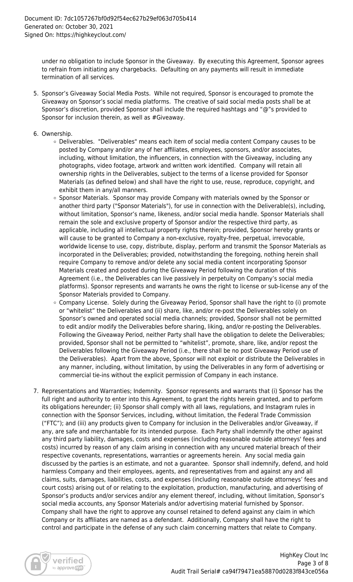under no obligation to include Sponsor in the Giveaway. By executing this Agreement, Sponsor agrees to refrain from initiating any chargebacks. Defaulting on any payments will result in immediate termination of all services.

- 5. Sponsor's Giveaway Social Media Posts. While not required, Sponsor is encouraged to promote the Giveaway on Sponsor's social media platforms. The creative of said social media posts shall be at Sponsor's discretion, provided Sponsor shall include the required hashtags and "@"s provided to Sponsor for inclusion therein, as well as #Giveaway.
- 6. Ownership.
	- Deliverables. "Deliverables" means each item of social media content Company causes to be posted by Company and/or any of her affiliates, employees, sponsors, and/or associates, including, without limitation, the influencers, in connection with the Giveaway, including any photographs, video footage, artwork and written work identified. Company will retain all ownership rights in the Deliverables, subject to the terms of a license provided for Sponsor Materials (as defined below) and shall have the right to use, reuse, reproduce, copyright, and exhibit them in any/all manners.
	- Sponsor Materials. Sponsor may provide Company with materials owned by the Sponsor or another third party ("Sponsor Materials"), for use in connection with the Deliverable(s), including, without limitation, Sponsor's name, likeness, and/or social media handle. Sponsor Materials shall remain the sole and exclusive property of Sponsor and/or the respective third party, as applicable, including all intellectual property rights therein; provided, Sponsor hereby grants or will cause to be granted to Company a non-exclusive, royalty-free, perpetual, irrevocable, worldwide license to use, copy, distribute, display, perform and transmit the Sponsor Materials as incorporated in the Deliverables; provided, notwithstanding the foregoing, nothing herein shall require Company to remove and/or delete any social media content incorporating Sponsor Materials created and posted during the Giveaway Period following the duration of this Agreement (i.e., the Deliverables can live passively in perpetuity on Company's social media platforms). Sponsor represents and warrants he owns the right to license or sub-license any of the Sponsor Materials provided to Company.
	- $\circ$  Company License. Solely during the Giveaway Period, Sponsor shall have the right to (i) promote or "whitelist" the Deliverables and (ii) share, like, and/or re-post the Deliverables solely on Sponsor's owned and operated social media channels; provided, Sponsor shall not be permitted to edit and/or modify the Deliverables before sharing, liking, and/or re-posting the Deliverables. Following the Giveaway Period, neither Party shall have the obligation to delete the Deliverables; provided, Sponsor shall not be permitted to "whitelist", promote, share, like, and/or repost the Deliverables following the Giveaway Period (i.e., there shall be no post Giveaway Period use of the Deliverables). Apart from the above, Sponsor will not exploit or distribute the Deliverables in any manner, including, without limitation, by using the Deliverables in any form of advertising or commercial tie-ins without the explicit permission of Company in each instance.
- 7. Representations and Warranties; Indemnity. Sponsor represents and warrants that (i) Sponsor has the full right and authority to enter into this Agreement, to grant the rights herein granted, and to perform its obligations hereunder; (ii) Sponsor shall comply with all laws, regulations, and Instagram rules in connection with the Sponsor Services, including, without limitation, the Federal Trade Commission ("FTC"); and (iii) any products given to Company for inclusion in the Deliverables and/or Giveaway, if any, are safe and merchantable for its intended purpose. Each Party shall indemnify the other against any third party liability, damages, costs and expenses (including reasonable outside attorneys' fees and costs) incurred by reason of any claim arising in connection with any uncured material breach of their respective covenants, representations, warranties or agreements herein. Any social media gain discussed by the parties is an estimate, and not a guarantee. Sponsor shall indemnify, defend, and hold harmless Company and their employees, agents, and representatives from and against any and all claims, suits, damages, liabilities, costs, and expenses (including reasonable outside attorneys' fees and court costs) arising out of or relating to the exploitation, production, manufacturing, and advertising of Sponsor's products and/or services and/or any element thereof, including, without limitation, Sponsor's social media accounts, any Sponsor Materials and/or advertising material furnished by Sponsor. Company shall have the right to approve any counsel retained to defend against any claim in which Company or its affiliates are named as a defendant. Additionally, Company shall have the right to control and participate in the defense of any such claim concerning matters that relate to Company.

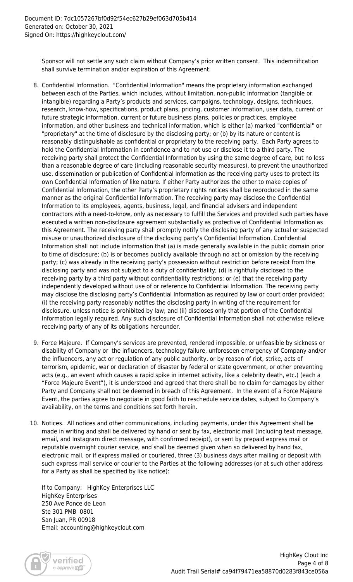Sponsor will not settle any such claim without Company's prior written consent. This indemnification shall survive termination and/or expiration of this Agreement.

- 8. Confidential Information. "Confidential Information" means the proprietary information exchanged between each of the Parties, which includes, without limitation, non-public information (tangible or intangible) regarding a Party's products and services, campaigns, technology, designs, techniques, research, know-how, specifications, product plans, pricing, customer information, user data, current or future strategic information, current or future business plans, policies or practices, employee information, and other business and technical information, which is either (a) marked "confidential" or "proprietary" at the time of disclosure by the disclosing party; or (b) by its nature or content is reasonably distinguishable as confidential or proprietary to the receiving party. Each Party agrees to hold the Confidential Information in confidence and to not use or disclose it to a third party. The receiving party shall protect the Confidential Information by using the same degree of care, but no less than a reasonable degree of care (including reasonable security measures), to prevent the unauthorized use, dissemination or publication of Confidential Information as the receiving party uses to protect its own Confidential Information of like nature. If either Party authorizes the other to make copies of Confidential Information, the other Party's proprietary rights notices shall be reproduced in the same manner as the original Confidential Information. The receiving party may disclose the Confidential Information to its employees, agents, business, legal, and financial advisers and independent contractors with a need-to-know, only as necessary to fulfill the Services and provided such parties have executed a written non-disclosure agreement substantially as protective of Confidential Information as this Agreement. The receiving party shall promptly notify the disclosing party of any actual or suspected misuse or unauthorized disclosure of the disclosing party's Confidential Information. Confidential Information shall not include information that (a) is made generally available in the public domain prior to time of disclosure; (b) is or becomes publicly available through no act or omission by the receiving party; (c) was already in the receiving party's possession without restriction before receipt from the disclosing party and was not subject to a duty of confidentiality; (d) is rightfully disclosed to the receiving party by a third party without confidentiality restrictions; or (e) that the receiving party independently developed without use of or reference to Confidential Information. The receiving party may disclose the disclosing party's Confidential Information as required by law or court order provided: (i) the receiving party reasonably notifies the disclosing party in writing of the requirement for disclosure, unless notice is prohibited by law; and (ii) discloses only that portion of the Confidential Information legally required. Any such disclosure of Confidential Information shall not otherwise relieve receiving party of any of its obligations hereunder.
- 9. Force Majeure. If Company's services are prevented, rendered impossible, or unfeasible by sickness or disability of Company or the influencers, technology failure, unforeseen emergency of Company and/or the influencers, any act or regulation of any public authority, or by reason of riot, strike, acts of terrorism, epidemic, war or declaration of disaster by federal or state government, or other preventing acts (e.g., an event which causes a rapid spike in internet activity, like a celebrity death, etc.) (each a "Force Majeure Event"), it is understood and agreed that there shall be no claim for damages by either Party and Company shall not be deemed in breach of this Agreement. In the event of a Force Majeure Event, the parties agree to negotiate in good faith to reschedule service dates, subject to Company's availability, on the terms and conditions set forth herein.
- 10. Notices. All notices and other communications, including payments, under this Agreement shall be made in writing and shall be delivered by hand or sent by fax, electronic mail (including text message, email, and Instagram direct message, with confirmed receipt), or sent by prepaid express mail or reputable overnight courier service, and shall be deemed given when so delivered by hand fax, electronic mail, or if express mailed or couriered, three (3) business days after mailing or deposit with such express mail service or courier to the Parties at the following addresses (or at such other address for a Party as shall be specified by like notice):

If to Company: HighKey Enterprises LLC HighKey Enterprises 250 Ave Ponce de Leon Ste 301 PMB 0801 San Juan, PR 00918 Email: accounting@highkeyclout.com

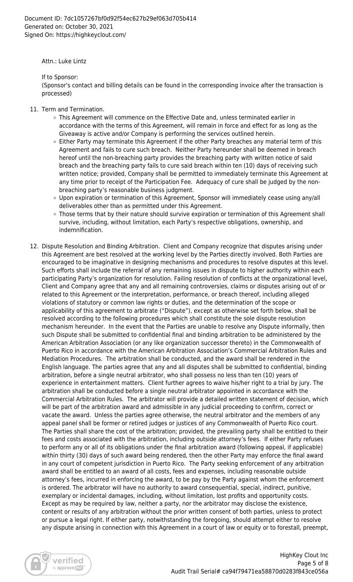Attn.: Luke Lintz

If to Sponsor:

(Sponsor's contact and billing details can be found in the corresponding invoice after the transaction is processed)

- 11. Term and Termination.
	- This Agreement will commence on the Effective Date and, unless terminated earlier in accordance with the terms of this Agreement, will remain in force and effect for as long as the Giveaway is active and/or Company is performing the services outlined herein.
	- $\circ$  Either Party may terminate this Agreement if the other Party breaches any material term of this Agreement and fails to cure such breach. Neither Party hereunder shall be deemed in breach hereof until the non-breaching party provides the breaching party with written notice of said breach and the breaching party fails to cure said breach within ten (10) days of receiving such written notice; provided, Company shall be permitted to immediately terminate this Agreement at any time prior to receipt of the Participation Fee. Adequacy of cure shall be judged by the nonbreaching party's reasonable business judgment.
	- Upon expiration or termination of this Agreement, Sponsor will immediately cease using any/all deliverables other than as permitted under this Agreement.
	- o Those terms that by their nature should survive expiration or termination of this Agreement shall survive, including, without limitation, each Party's respective obligations, ownership, and indemnification.
- 12. Dispute Resolution and Binding Arbitration. Client and Company recognize that disputes arising under this Agreement are best resolved at the working level by the Parties directly involved. Both Parties are encouraged to be imaginative in designing mechanisms and procedures to resolve disputes at this level. Such efforts shall include the referral of any remaining issues in dispute to higher authority within each participating Party's organization for resolution. Failing resolution of conflicts at the organizational level, Client and Company agree that any and all remaining controversies, claims or disputes arising out of or related to this Agreement or the interpretation, performance, or breach thereof, including alleged violations of statutory or common law rights or duties, and the determination of the scope or applicability of this agreement to arbitrate ("Dispute"), except as otherwise set forth below, shall be resolved according to the following procedures which shall constitute the sole dispute resolution mechanism hereunder. In the event that the Parties are unable to resolve any Dispute informally, then such Dispute shall be submitted to confidential final and binding arbitration to be administered by the American Arbitration Association (or any like organization successor thereto) in the Commonwealth of Puerto Rico in accordance with the American Arbitration Association's Commercial Arbitration Rules and Mediation Procedures. The arbitration shall be conducted, and the award shall be rendered in the English language. The parties agree that any and all disputes shall be submitted to confidential, binding arbitration, before a single neutral arbitrator, who shall possess no less than ten (10) years of experience in entertainment matters. Client further agrees to waive his/her right to a trial by jury. The arbitration shall be conducted before a single neutral arbitrator appointed in accordance with the Commercial Arbitration Rules. The arbitrator will provide a detailed written statement of decision, which will be part of the arbitration award and admissible in any judicial proceeding to confirm, correct or vacate the award. Unless the parties agree otherwise, the neutral arbitrator and the members of any appeal panel shall be former or retired judges or justices of any Commonwealth of Puerto Rico court. The Parties shall share the cost of the arbitration; provided, the prevailing party shall be entitled to their fees and costs associated with the arbitration, including outside attorney's fees. If either Party refuses to perform any or all of its obligations under the final arbitration award (following appeal, if applicable) within thirty (30) days of such award being rendered, then the other Party may enforce the final award in any court of competent jurisdiction in Puerto Rico. The Party seeking enforcement of any arbitration award shall be entitled to an award of all costs, fees and expenses, including reasonable outside attorney's fees, incurred in enforcing the award, to be pay by the Party against whom the enforcement is ordered. The arbitrator will have no authority to award consequential, special, indirect, punitive, exemplary or incidental damages, including, without limitation, lost profits and opportunity costs. Except as may be required by law, neither a party, nor the arbitrator may disclose the existence, content or results of any arbitration without the prior written consent of both parties, unless to protect or pursue a legal right. If either party, notwithstanding the foregoing, should attempt either to resolve any dispute arising in connection with this Agreement in a court of law or equity or to forestall, preempt,

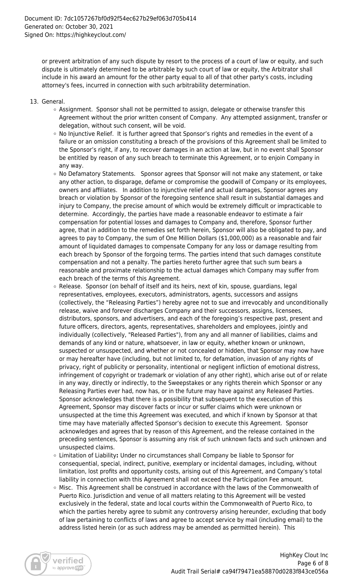or prevent arbitration of any such dispute by resort to the process of a court of law or equity, and such dispute is ultimately determined to be arbitrable by such court of law or equity, the Arbitrator shall include in his award an amount for the other party equal to all of that other party's costs, including attorney's fees, incurred in connection with such arbitrability determination.

- 13. General.
	- Assignment. Sponsor shall not be permitted to assign, delegate or otherwise transfer this Agreement without the prior written consent of Company. Any attempted assignment, transfer or delegation, without such consent, will be void.
	- $\circ$  No Injunctive Relief. It is further agreed that Sponsor's rights and remedies in the event of a failure or an omission constituting a breach of the provisions of this Agreement shall be limited to the Sponsor's right, if any, to recover damages in an action at law, but in no event shall Sponsor be entitled by reason of any such breach to terminate this Agreement, or to enjoin Company in any way.
	- o No Defamatory Statements. Sponsor agrees that Sponsor will not make any statement, or take any other action, to disparage, defame or compromise the goodwill of Company or its employees, owners and affiliates. In addition to injunctive relief and actual damages, Sponsor agrees any breach or violation by Sponsor of the foregoing sentence shall result in substantial damages and injury to Company, the precise amount of which would be extremely difficult or impracticable to determine. Accordingly, the parties have made a reasonable endeavor to estimate a fair compensation for potential losses and damages to Company and, therefore, Sponsor further agree, that in addition to the remedies set forth herein, Sponsor will also be obligated to pay, and agrees to pay to Company, the sum of One Million Dollars (\$1,000,000) as a reasonable and fair amount of liquidated damages to compensate Company for any loss or damage resulting from each breach by Sponsor of the forgoing terms. The parties intend that such damages constitute compensation and not a penalty. The parties hereto further agree that such sum bears a reasonable and proximate relationship to the actual damages which Company may suffer from each breach of the terms of this Agreement.
	- $\circ$  Release. Sponsor (on behalf of itself and its heirs, next of kin, spouse, guardians, legal representatives, employees, executors, administrators, agents, successors and assigns (collectively, the "Releasing Parties") hereby agree not to sue and irrevocably and unconditionally release, waive and forever discharges Company and their successors, assigns, licensees, distributors, sponsors, and advertisers, and each of the foregoing's respective past, present and future officers, directors, agents, representatives, shareholders and employees, jointly and individually (collectively, "Released Parties"), from any and all manner of liabilities, claims and demands of any kind or nature, whatsoever, in law or equity, whether known or unknown, suspected or unsuspected, and whether or not concealed or hidden, that Sponsor may now have or may hereafter have (including, but not limited to, for defamation, invasion of any rights of privacy, right of publicity or personality, intentional or negligent infliction of emotional distress, infringement of copyright or trademark or violation of any other right), which arise out of or relate in any way, directly or indirectly, to the Sweepstakes or any rights therein which Sponsor or any Releasing Parties ever had, now has, or in the future may have against any Released Parties. Sponsor acknowledges that there is a possibility that subsequent to the execution of this Agreement, Sponsor may discover facts or incur or suffer claims which were unknown or unsuspected at the time this Agreement was executed, and which if known by Sponsor at that time may have materially affected Sponsor's decision to execute this Agreement. Sponsor acknowledges and agrees that by reason of this Agreement, and the release contained in the preceding sentences, Sponsor is assuming any risk of such unknown facts and such unknown and unsuspected claims.
	- Limitation of Liability**:** Under no circumstances shall Company be liable to Sponsor for consequential, special, indirect, punitive, exemplary or incidental damages, including, without limitation, lost profits and opportunity costs, arising out of this Agreement, and Company's total liability in connection with this Agreement shall not exceed the Participation Fee amount.
	- Misc. This Agreement shall be construed in accordance with the laws of the Commonwealth of Puerto Rico. Jurisdiction and venue of all matters relating to this Agreement will be vested exclusively in the federal, state and local courts within the Commonwealth of Puerto Rico, to which the parties hereby agree to submit any controversy arising hereunder, excluding that body of law pertaining to conflicts of laws and agree to accept service by mail (including email) to the address listed herein (or as such address may be amended as permitted herein). This

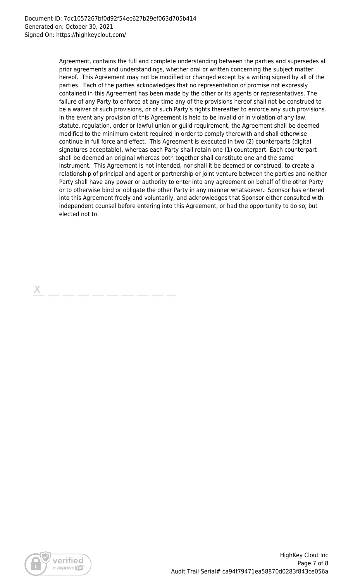Agreement, contains the full and complete understanding between the parties and supersedes all prior agreements and understandings, whether oral or written concerning the subject matter hereof. This Agreement may not be modified or changed except by a writing signed by all of the parties. Each of the parties acknowledges that no representation or promise not expressly contained in this Agreement has been made by the other or its agents or representatives. The failure of any Party to enforce at any time any of the provisions hereof shall not be construed to be a waiver of such provisions, or of such Party's rights thereafter to enforce any such provisions. In the event any provision of this Agreement is held to be invalid or in violation of any law, statute, regulation, order or lawful union or guild requirement, the Agreement shall be deemed modified to the minimum extent required in order to comply therewith and shall otherwise continue in full force and effect. This Agreement is executed in two (2) counterparts (digital signatures acceptable), whereas each Party shall retain one (1) counterpart. Each counterpart shall be deemed an original whereas both together shall constitute one and the same instrument. This Agreement is not intended, nor shall it be deemed or construed, to create a relationship of principal and agent or partnership or joint venture between the parties and neither Party shall have any power or authority to enter into any agreement on behalf of the other Party or to otherwise bind or obligate the other Party in any manner whatsoever. Sponsor has entered into this Agreement freely and voluntarily, and acknowledges that Sponsor either consulted with independent counsel before entering into this Agreement, or had the opportunity to do so, but elected not to.

х